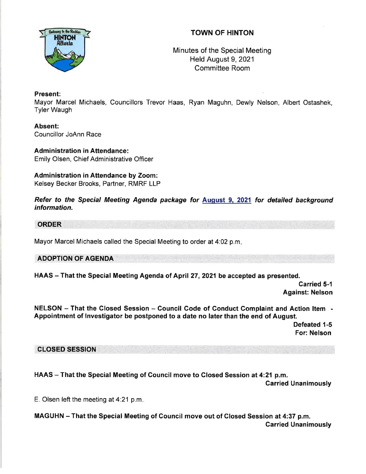## TOWN OF HINTON



## Minutes of the Special Meeting Held August 9, 2021 Committee Room

#### Present:

Mayor Marcel Michaels, Councillors Trevor Haas, Ryan Maguhn, Dewly Nelson, Albert Ostashek, Tyler Waugh

Absent: Councillor JoAnn Race

**Administration in Attendance:** Emily Olsen, Chief Administrative Officer

# Administration in Attendance by Zoom:

Kelsey Becker Brooks, Partner, RMRF LLP

Refer to the Special Meeting Agenda package for August 9, 2021 for detailed background information.

#### ORDER

Mayor Marcel Michaels called the Special Meeting to order at 4:02 p.m

#### ADOPTION OF AGENDA

HAAS - That the Special Meeting Agenda of April 27, 2021 be accepted as presented.

Carried 5-1 Against: Nelson

NELSON - That the Closed Session - Council Code of Conduct Complaint and Action Item -Appointment of lnvestigator be postponed to a date no later than the end of August.

Defeated 1-5 For: Nelson

### CLOSED SESSION

HAAS - That the Special Meeting of Council move to Closed Session at 4:21 p.m. Garried Unanimously

E. Olsen left the meeting at 4.21 p.m

MAGUHN - That the Special Meeting of Council move out of Glosed Session at 4:37 p.m. Carried Unanimously